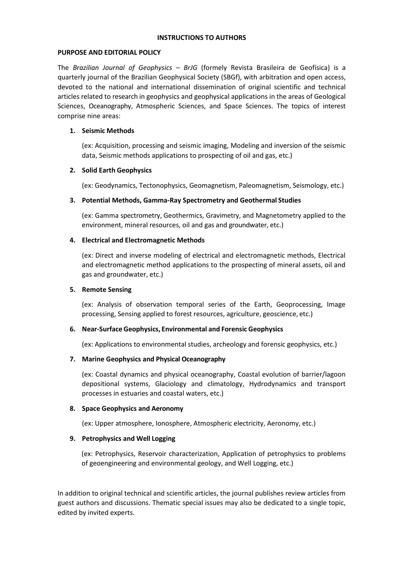#### **INSTRUCTIONS TO AUTHORS**

## **PURPOSE AND EDITORIAL POLICY**

The *Brazilian Journal of Geophysics* – *BrJG* (formely Revista Brasileira de Geofísica) is a quarterly journal of the Brazilian Geophysical Society (SBGf), with arbitration and open access, devoted to the national and international dissemination of original scientific and technical articles related to research in geophysics and geophysical applications in the areas of Geological Sciences, Oceanography, Atmospheric Sciences, and Space Sciences. The topics of interest comprise nine areas:

## **1. Seismic Methods**

(ex: Acquisition, processing and seismic imaging, Modeling and inversion of the seismic data, Seismic methods applications to prospecting of oil and gas, etc.)

## **2. Solid Earth Geophysics**

(ex: Geodynamics, Tectonophysics, Geomagnetism, Paleomagnetism, Seismology, etc.)

#### **3. Potential Methods, Gamma-Ray Spectrometry and Geothermal Studies**

(ex: Gamma spectrometry, Geothermics, Gravimetry, and Magnetometry applied to the environment, mineral resources, oil and gas and groundwater, etc.)

#### **4. Electrical and Electromagnetic Methods**

(ex: Direct and inverse modeling of electrical and electromagnetic methods, Electrical and electromagnetic method applications to the prospecting of mineral assets, oil and gas and groundwater, etc.)

## **5. Remote Sensing**

(ex: Analysis of observation temporal series of the Earth, Geoprocessing, Image processing, Sensing applied to forest resources, agriculture, geoscience, etc.)

## **6. Near-Surface Geophysics, Environmental and Forensic Geophysics**

(ex: Applications to environmental studies, archeology and forensic geophysics, etc.)

## **7. Marine Geophysics and Physical Oceanography**

(ex: Coastal dynamics and physical oceanography, Coastal evolution of barrier/lagoon depositional systems, Glaciology and climatology, Hydrodynamics and transport processes in estuaries and coastal waters, etc.)

## **8. Space Geophysics and Aeronomy**

(ex: Upper atmosphere, Ionosphere, Atmospheric electricity, Aeronomy, etc.)

## **9. Petrophysics and Well Logging**

(ex: Petrophysics, Reservoir characterization, Application of petrophysics to problems of geoengineering and environmental geology, and Well Logging, etc.)

In addition to original technical and scientific articles, the journal publishes review articles from guest authors and discussions. Thematic special issues may also be dedicated to a single topic, edited by invited experts.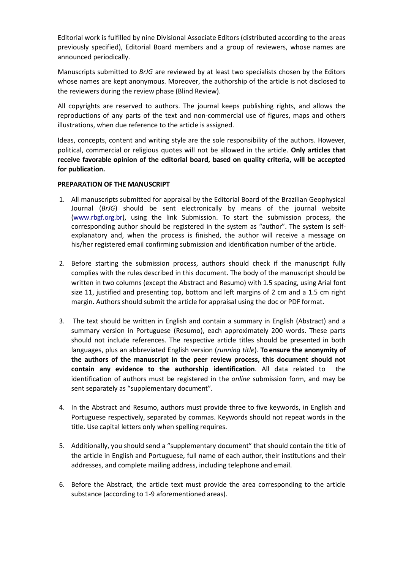Editorial work is fulfilled by nine Divisional Associate Editors (distributed according to the areas previously specified), Editorial Board members and a group of reviewers, whose names are announced periodically.

Manuscripts submitted to *BrJG* are reviewed by at least two specialists chosen by the Editors whose names are kept anonymous. Moreover, the authorship of the article is not disclosed to the reviewers during the review phase (Blind Review).

All copyrights are reserved to authors. The journal keeps publishing rights, and allows the reproductions of any parts of the text and non-commercial use of figures, maps and others illustrations, when due reference to the article is assigned.

Ideas, concepts, content and writing style are the sole responsibility of the authors. However, political, commercial or religious quotes will not be allowed in the article. **Only articles that receive favorable opinion of the editorial board, based on quality criteria, will be accepted for publication.**

# **PREPARATION OF THE MANUSCRIPT**

- 1. All manuscripts submitted for appraisal by the Editorial Board of the Brazilian Geophysical Journal (*BrJG*) should be sent electronically by means of the journal website [\(www.rbgf.org.br\)](http://www.rbgf.org.br/), using the link Submission. To start the submission process, the corresponding author should be registered in the system as "author". The system is selfexplanatory and, when the process is finished, the author will receive a message on his/her registered email confirming submission and identification number of the article.
- 2. Before starting the submission process, authors should check if the manuscript fully complies with the rules described in this document. The body of the manuscript should be written in two columns (except the Abstract and Resumo) with 1.5 spacing, using Arial font size 11, justified and presenting top, bottom and left margins of 2 cm and a 1.5 cm right margin. Authors should submit the article for appraisal using the doc or PDF format.
- 3. The text should be written in English and contain a summary in English (Abstract) and a summary version in Portuguese (Resumo), each approximately 200 words. These parts should not include references. The respective article titles should be presented in both languages, plus an abbreviated English version (*running title*). **To ensure the anonymity of the authors of the manuscript in the peer review process, this document should not contain any evidence to the authorship identification**. All data related to the identification of authors must be registered in the *online* submission form, and may be sent separately as "supplementary document".
- 4. In the Abstract and Resumo, authors must provide three to five keywords, in English and Portuguese respectively, separated by commas. Keywords should not repeat words in the title. Use capital letters only when spelling requires.
- 5. Additionally, you should send a "supplementary document" that should contain the title of the article in English and Portuguese, full name of each author, their institutions and their addresses, and complete mailing address, including telephone and email.
- 6. Before the Abstract, the article text must provide the area corresponding to the article substance (according to 1-9 aforementioned areas).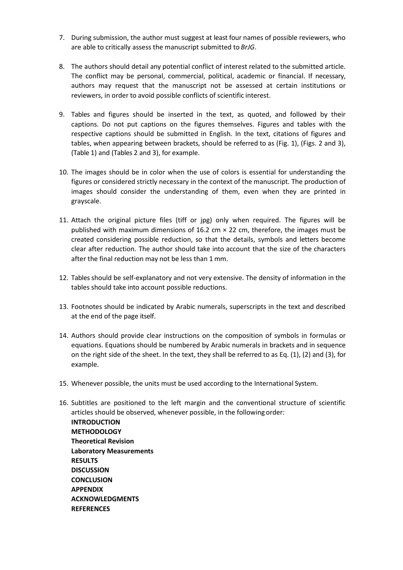- 7. During submission, the author must suggest at least four names of possible reviewers, who are able to critically assess the manuscript submitted to *BrJG*.
- 8. The authors should detail any potential conflict of interest related to the submitted article. The conflict may be personal, commercial, political, academic or financial. If necessary, authors may request that the manuscript not be assessed at certain institutions or reviewers, in order to avoid possible conflicts of scientific interest.
- 9. Tables and figures should be inserted in the text, as quoted, and followed by their captions. Do not put captions on the figures themselves. Figures and tables with the respective captions should be submitted in English. In the text, citations of figures and tables, when appearing between brackets, should be referred to as (Fig. 1), (Figs. 2 and 3), (Table 1) and (Tables 2 and 3), for example.
- 10. The images should be in color when the use of colors is essential for understanding the figures or considered strictly necessary in the context of the manuscript. The production of images should consider the understanding of them, even when they are printed in grayscale.
- 11. Attach the original picture files (tiff or jpg) only when required. The figures will be published with maximum dimensions of 16.2 cm  $\times$  22 cm, therefore, the images must be created considering possible reduction, so that the details, symbols and letters become clear after reduction. The author should take into account that the size of the characters after the final reduction may not be less than 1 mm.
- 12. Tables should be self-explanatory and not very extensive. The density of information in the tables should take into account possible reductions.
- 13. Footnotes should be indicated by Arabic numerals, superscripts in the text and described at the end of the page itself.
- 14. Authors should provide clear instructions on the composition of symbols in formulas or equations. Equations should be numbered by Arabic numerals in brackets and in sequence on the right side of the sheet. In the text, they shall be referred to as Eq. (1), (2) and (3), for example.
- 15. Whenever possible, the units must be used according to the International System.

**REFERENCES**

16. Subtitles are positioned to the left margin and the conventional structure of scientific articles should be observed, whenever possible, in the following order: **INTRODUCTION METHODOLOGY Theoretical Revision Laboratory Measurements RESULTS DISCUSSION CONCLUSION APPENDIX ACKNOWLEDGMENTS**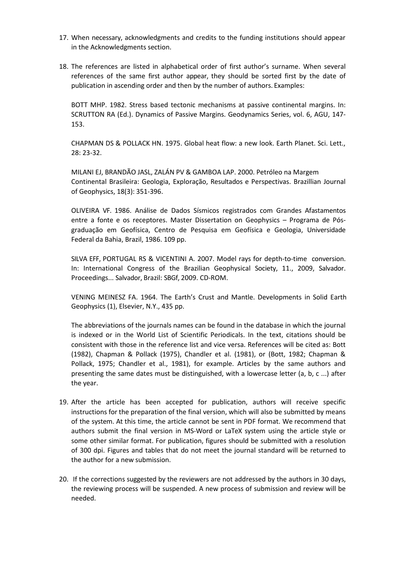- 17. When necessary, acknowledgments and credits to the funding institutions should appear in the Acknowledgments section.
- 18. The references are listed in alphabetical order of first author's surname. When several references of the same first author appear, they should be sorted first by the date of publication in ascending order and then by the number of authors. Examples:

BOTT MHP. 1982. Stress based tectonic mechanisms at passive continental margins. In: SCRUTTON RA (Ed.). Dynamics of Passive Margins. Geodynamics Series, vol. 6, AGU, 147- 153.

CHAPMAN DS & POLLACK HN. 1975. Global heat flow: a new look. Earth Planet. Sci. Lett., 28: 23-32.

MILANI EJ, BRANDÃO JASL, ZALÁN PV & GAMBOA LAP. 2000. Petróleo na Margem Continental Brasileira: Geologia, Exploração, Resultados e Perspectivas. Brazillian Journal of Geophysics, 18(3): 351-396.

OLIVEIRA VF. 1986. Análise de Dados Sísmicos registrados com Grandes Afastamentos entre a fonte e os receptores. Master Dissertation on Geophysics – Programa de Pósgraduação em Geofísica, Centro de Pesquisa em Geofísica e Geologia, Universidade Federal da Bahia, Brazil, 1986. 109 pp.

SILVA EFF, PORTUGAL RS & VICENTINI A. 2007. Model rays for depth-to-time conversion. In: International Congress of the Brazilian Geophysical Society, 11., 2009, Salvador. Proceedings... Salvador, Brazil: SBGf, 2009. CD-ROM.

VENING MEINESZ FA. 1964. The Earth's Crust and Mantle. Developments in Solid Earth Geophysics (1), Elsevier, N.Y., 435 pp.

The abbreviations of the journals names can be found in the database in which the journal is indexed or in the World List of Scientific Periodicals. In the text, citations should be consistent with those in the reference list and vice versa. References will be cited as: Bott (1982), Chapman & Pollack (1975), Chandler et al. (1981), or (Bott, 1982; Chapman & Pollack, 1975; Chandler et al., 1981), for example. Articles by the same authors and presenting the same dates must be distinguished, with a lowercase letter (a, b, c ...) after the year.

- 19. After the article has been accepted for publication, authors will receive specific instructions for the preparation of the final version, which will also be submitted by means of the system. At this time, the article cannot be sent in PDF format. We recommend that authors submit the final version in MS-Word or LaTeX system using the article style or some other similar format. For publication, figures should be submitted with a resolution of 300 dpi. Figures and tables that do not meet the journal standard will be returned to the author for a new submission.
- 20. If the corrections suggested by the reviewers are not addressed by the authors in 30 days, the reviewing process will be suspended. A new process of submission and review will be needed.